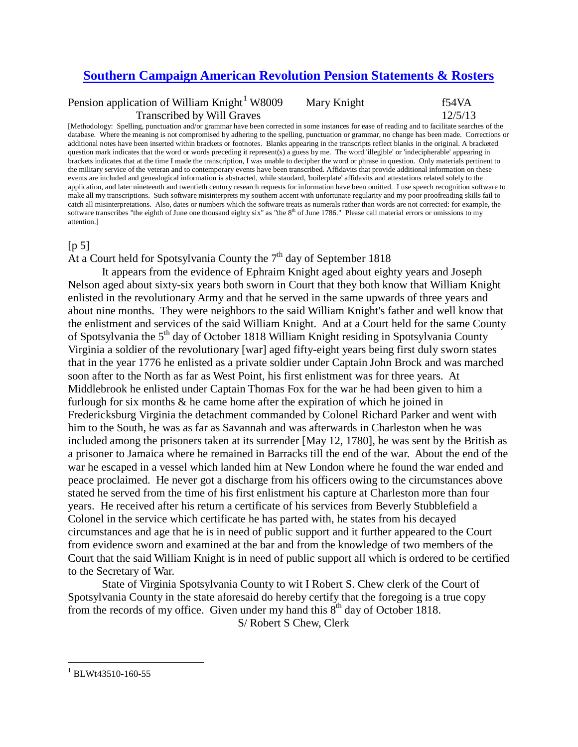## **[Southern Campaign American Revolution Pension Statements & Rosters](http://revwarapps.org/)**

Pension application of William Knight<sup>[1](#page-0-0)</sup> W8009 Mary Knight f54VA Transcribed by Will Graves 12/5/13

[Methodology: Spelling, punctuation and/or grammar have been corrected in some instances for ease of reading and to facilitate searches of the database. Where the meaning is not compromised by adhering to the spelling, punctuation or grammar, no change has been made. Corrections or additional notes have been inserted within brackets or footnotes. Blanks appearing in the transcripts reflect blanks in the original. A bracketed question mark indicates that the word or words preceding it represent(s) a guess by me. The word 'illegible' or 'indecipherable' appearing in brackets indicates that at the time I made the transcription, I was unable to decipher the word or phrase in question. Only materials pertinent to the military service of the veteran and to contemporary events have been transcribed. Affidavits that provide additional information on these events are included and genealogical information is abstracted, while standard, 'boilerplate' affidavits and attestations related solely to the application, and later nineteenth and twentieth century research requests for information have been omitted. I use speech recognition software to make all my transcriptions. Such software misinterprets my southern accent with unfortunate regularity and my poor proofreading skills fail to catch all misinterpretations. Also, dates or numbers which the software treats as numerals rather than words are not corrected: for example, the software transcribes "the eighth of June one thousand eighty six" as "the 8<sup>th</sup> of June 1786." Please call material errors or omissions to my attention.]

## $[p 5]$

At a Court held for Spotsylvania County the  $7<sup>th</sup>$  day of September 1818

It appears from the evidence of Ephraim Knight aged about eighty years and Joseph Nelson aged about sixty-six years both sworn in Court that they both know that William Knight enlisted in the revolutionary Army and that he served in the same upwards of three years and about nine months. They were neighbors to the said William Knight's father and well know that the enlistment and services of the said William Knight. And at a Court held for the same County of Spotsylvania the  $5<sup>th</sup>$  day of October 1818 William Knight residing in Spotsylvania County Virginia a soldier of the revolutionary [war] aged fifty-eight years being first duly sworn states that in the year 1776 he enlisted as a private soldier under Captain John Brock and was marched soon after to the North as far as West Point, his first enlistment was for three years. At Middlebrook he enlisted under Captain Thomas Fox for the war he had been given to him a furlough for six months & he came home after the expiration of which he joined in Fredericksburg Virginia the detachment commanded by Colonel Richard Parker and went with him to the South, he was as far as Savannah and was afterwards in Charleston when he was included among the prisoners taken at its surrender [May 12, 1780], he was sent by the British as a prisoner to Jamaica where he remained in Barracks till the end of the war. About the end of the war he escaped in a vessel which landed him at New London where he found the war ended and peace proclaimed. He never got a discharge from his officers owing to the circumstances above stated he served from the time of his first enlistment his capture at Charleston more than four years. He received after his return a certificate of his services from Beverly Stubblefield a Colonel in the service which certificate he has parted with, he states from his decayed circumstances and age that he is in need of public support and it further appeared to the Court from evidence sworn and examined at the bar and from the knowledge of two members of the Court that the said William Knight is in need of public support all which is ordered to be certified to the Secretary of War.

State of Virginia Spotsylvania County to wit I Robert S. Chew clerk of the Court of Spotsylvania County in the state aforesaid do hereby certify that the foregoing is a true copy from the records of my office. Given under my hand this  $8<sup>th</sup>$  day of October 1818.

S/ Robert S Chew, Clerk

<span id="page-0-0"></span> $^{1}$  BLWt43510-160-55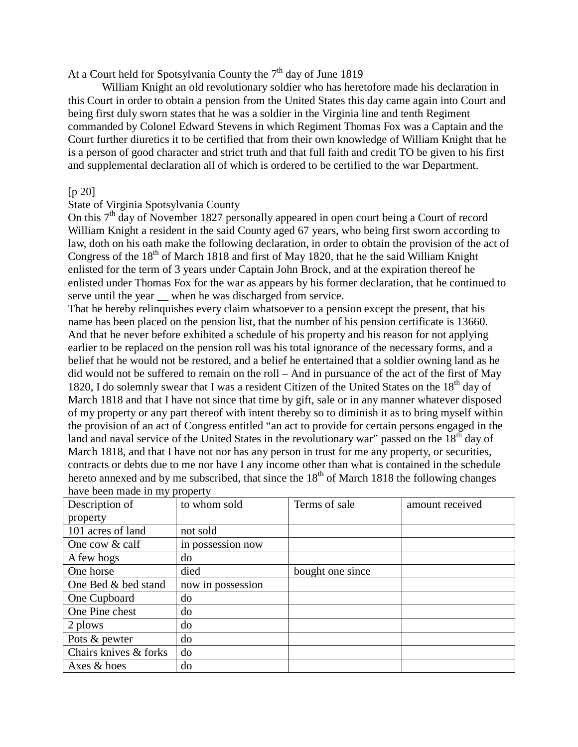At a Court held for Spotsylvania County the  $7<sup>th</sup>$  day of June 1819

William Knight an old revolutionary soldier who has heretofore made his declaration in this Court in order to obtain a pension from the United States this day came again into Court and being first duly sworn states that he was a soldier in the Virginia line and tenth Regiment commanded by Colonel Edward Stevens in which Regiment Thomas Fox was a Captain and the Court further diuretics it to be certified that from their own knowledge of William Knight that he is a person of good character and strict truth and that full faith and credit TO be given to his first and supplemental declaration all of which is ordered to be certified to the war Department.

## $[p 20]$

## State of Virginia Spotsylvania County

On this  $7<sup>th</sup>$  day of November 1827 personally appeared in open court being a Court of record William Knight a resident in the said County aged 67 years, who being first sworn according to law, doth on his oath make the following declaration, in order to obtain the provision of the act of Congress of the  $18<sup>th</sup>$  of March 1818 and first of May 1820, that he the said William Knight enlisted for the term of 3 years under Captain John Brock, and at the expiration thereof he enlisted under Thomas Fox for the war as appears by his former declaration, that he continued to serve until the year  $\equiv$  when he was discharged from service.

That he hereby relinquishes every claim whatsoever to a pension except the present, that his name has been placed on the pension list, that the number of his pension certificate is 13660. And that he never before exhibited a schedule of his property and his reason for not applying earlier to be replaced on the pension roll was his total ignorance of the necessary forms, and a belief that he would not be restored, and a belief he entertained that a soldier owning land as he did would not be suffered to remain on the roll – And in pursuance of the act of the first of May 1820, I do solemnly swear that I was a resident Citizen of the United States on the  $18<sup>th</sup>$  day of March 1818 and that I have not since that time by gift, sale or in any manner whatever disposed of my property or any part thereof with intent thereby so to diminish it as to bring myself within the provision of an act of Congress entitled "an act to provide for certain persons engaged in the land and naval service of the United States in the revolutionary war" passed on the  $18<sup>th</sup>$  day of March 1818, and that I have not nor has any person in trust for me any property, or securities, contracts or debts due to me nor have I any income other than what is contained in the schedule hereto annexed and by me subscribed, that since the  $18<sup>th</sup>$  of March 1818 the following changes have been made in my property

| $\mathbf{m}$ , $\mathbf{v}$ because $\mathbf{m}$ $\mathbf{m}$ , property |                   |                  |                 |  |  |
|--------------------------------------------------------------------------|-------------------|------------------|-----------------|--|--|
| Description of                                                           | to whom sold      | Terms of sale    | amount received |  |  |
| property                                                                 |                   |                  |                 |  |  |
| 101 acres of land                                                        | not sold          |                  |                 |  |  |
| One cow $&$ calf                                                         | in possession now |                  |                 |  |  |
| A few hogs                                                               | do                |                  |                 |  |  |
| One horse                                                                | died              | bought one since |                 |  |  |
| One Bed & bed stand                                                      | now in possession |                  |                 |  |  |
| One Cupboard                                                             | do                |                  |                 |  |  |
| One Pine chest                                                           | do                |                  |                 |  |  |
| 2 plows                                                                  | do                |                  |                 |  |  |
| Pots & pewter                                                            | do                |                  |                 |  |  |
| Chairs knives & forks                                                    | do                |                  |                 |  |  |
| Axes & hoes                                                              | do                |                  |                 |  |  |